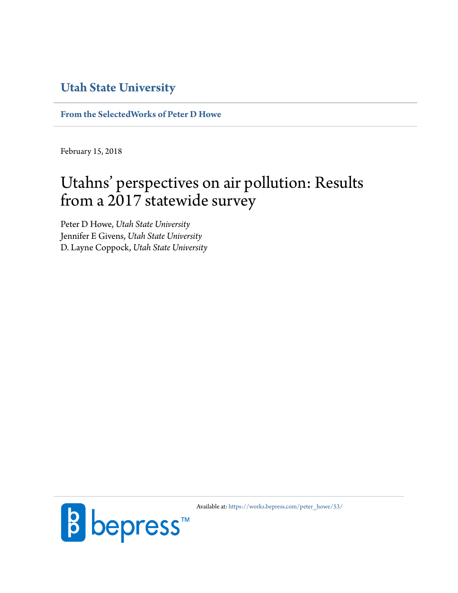#### **[Utah State University](http://www.usu.edu)**

**[From the SelectedWorks of Peter D Howe](https://works.bepress.com/peter_howe/)**

February 15, 2018

## Utahns' perspectives on air pollution: Results from a 2017 statewide survey

Peter D Howe, *Utah State University* Jennifer E Givens, *Utah State University* D. Layne Coppock, *Utah State University*



Available at: [https://works.bepress.com/peter\\_howe/53/](https://works.bepress.com/peter_howe/53/)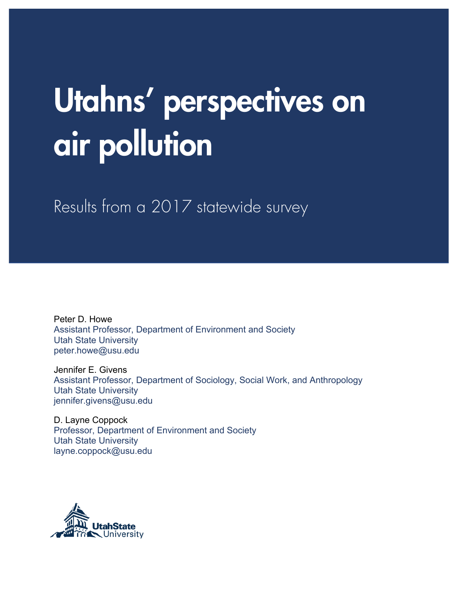# Utahns' perspectives on air pollution

Results from a 2017 statewide survey

Peter D. Howe Assistant Professor, Department of Environment and Society Utah State University peter.howe@usu.edu

Jennifer E. Givens Assistant Professor, Department of Sociology, Social Work, and Anthropology Utah State University jennifer.givens@usu.edu

D. Layne Coppock Professor, Department of Environment and Society Utah State University layne.coppock@usu.edu

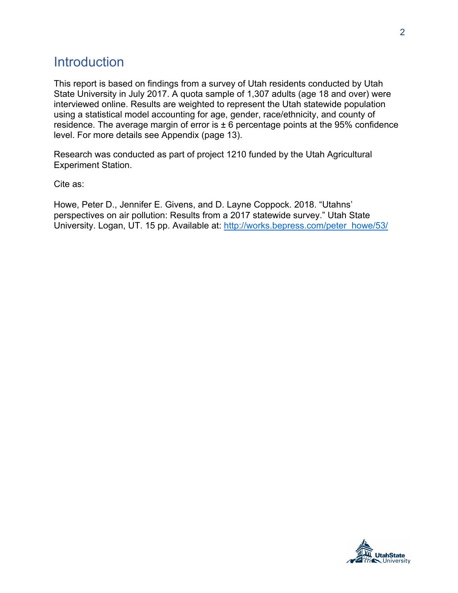#### **Introduction**

This report is based on findings from a survey of Utah residents conducted by Utah State University in July 2017. A quota sample of 1,307 adults (age 18 and over) were interviewed online. Results are weighted to represent the Utah statewide population using a statistical model accounting for age, gender, race/ethnicity, and county of residence. The average margin of error is  $\pm 6$  percentage points at the 95% confidence level. For more details see Appendix (page 13).

Research was conducted as part of project 1210 funded by the Utah Agricultural Experiment Station.

Cite as:

Howe, Peter D., Jennifer E. Givens, and D. Layne Coppock. 2018. "Utahns' perspectives on air pollution: Results from a 2017 statewide survey." Utah State University. Logan, UT. 15 pp. Available at: http://works.bepress.com/peter\_howe/53/

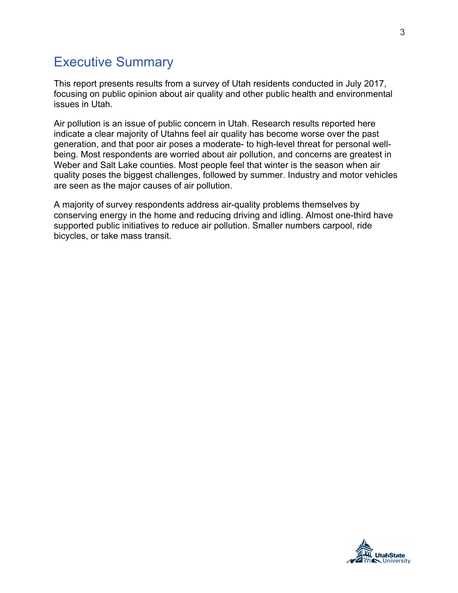#### Executive Summary

This report presents results from a survey of Utah residents conducted in July 2017, focusing on public opinion about air quality and other public health and environmental issues in Utah.

Air pollution is an issue of public concern in Utah. Research results reported here indicate a clear majority of Utahns feel air quality has become worse over the past generation, and that poor air poses a moderate- to high-level threat for personal wellbeing. Most respondents are worried about air pollution, and concerns are greatest in Weber and Salt Lake counties. Most people feel that winter is the season when air quality poses the biggest challenges, followed by summer. Industry and motor vehicles are seen as the major causes of air pollution.

A majority of survey respondents address air-quality problems themselves by conserving energy in the home and reducing driving and idling. Almost one-third have supported public initiatives to reduce air pollution. Smaller numbers carpool, ride bicycles, or take mass transit.

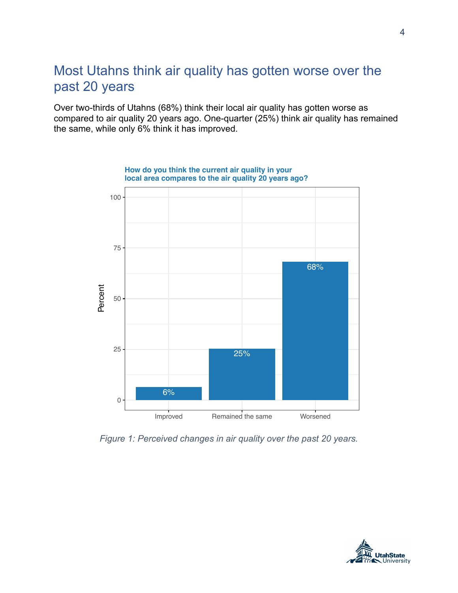#### Most Utahns think air quality has gotten worse over the past 20 years

Over two-thirds of Utahns (68%) think their local air quality has gotten worse as compared to air quality 20 years ago. One-quarter (25%) think air quality has remained the same, while only 6% think it has improved.



**How do you think the current air quality in your local area compares to the air quality 20 years ago?**

*Figure 1: Perceived changes in air quality over the past 20 years.*

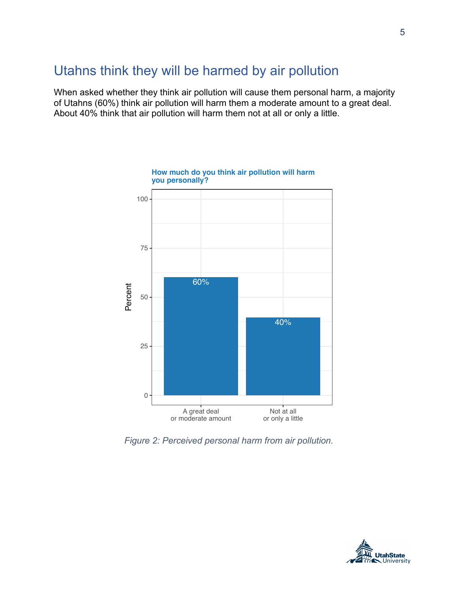#### Utahns think they will be harmed by air pollution

When asked whether they think air pollution will cause them personal harm, a majority of Utahns (60%) think air pollution will harm them a moderate amount to a great deal. About 40% think that air pollution will harm them not at all or only a little.



**How much do you think air pollution will harm you personally?**

*Figure 2: Perceived personal harm from air pollution.*

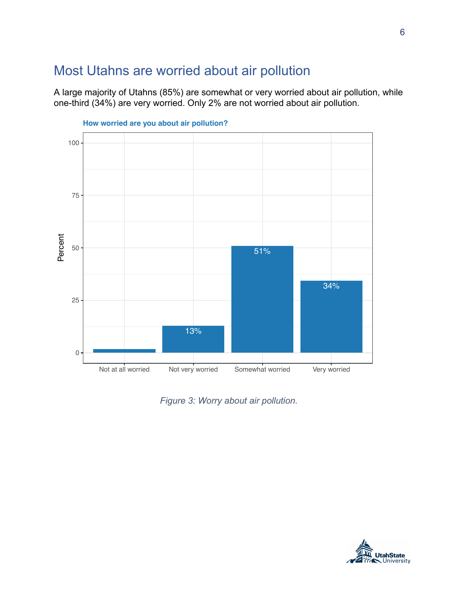#### Most Utahns are worried about air pollution

A large majority of Utahns (85%) are somewhat or very worried about air pollution, while one-third (34%) are very worried. Only 2% are not worried about air pollution.



*Figure 3: Worry about air pollution.*

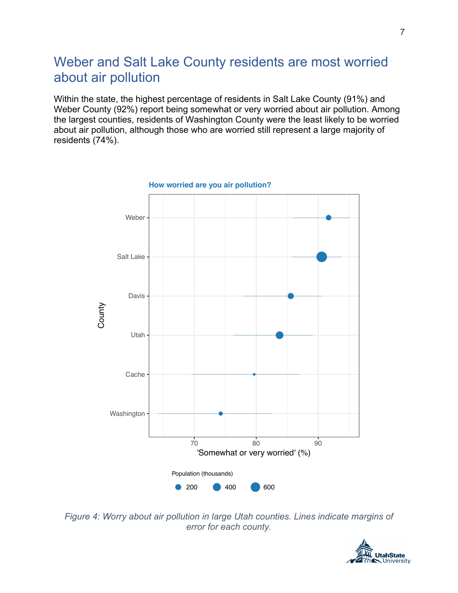### Weber and Salt Lake County residents are most worried about air pollution

Within the state, the highest percentage of residents in Salt Lake County (91%) and Weber County (92%) report being somewhat or very worried about air pollution. Among the largest counties, residents of Washington County were the least likely to be worried about air pollution, although those who are worried still represent a large majority of residents (74%).



*Figure 4: Worry about air pollution in large Utah counties. Lines indicate margins of error for each county.* 

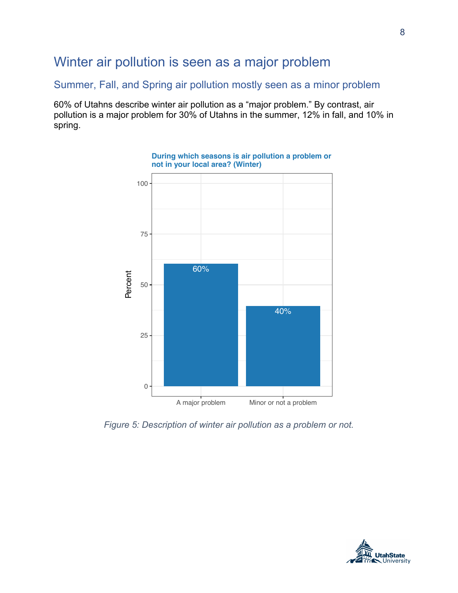#### Winter air pollution is seen as a major problem

Summer, Fall, and Spring air pollution mostly seen as a minor problem

60% of Utahns describe winter air pollution as a "major problem." By contrast, air pollution is a major problem for 30% of Utahns in the summer, 12% in fall, and 10% in spring.



**During which seasons is air pollution a problem or not in your local area? (Winter)**

*Figure 5: Description of winter air pollution as a problem or not.*



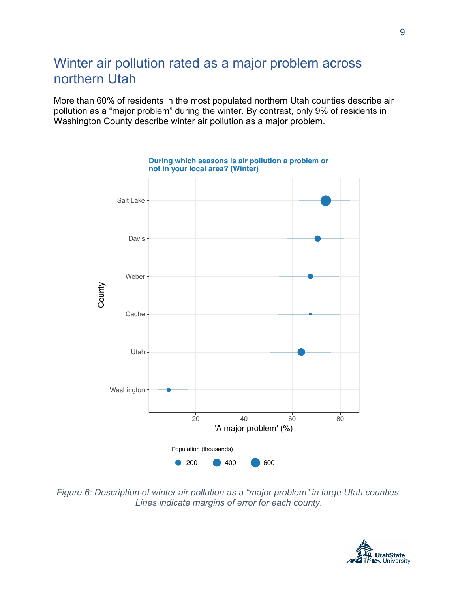#### Winter air pollution rated as a major problem across northern Utah

More than 60% of residents in the most populated northern Utah counties describe air pollution as a "major problem" during the winter. By contrast, only 9% of residents in Washington County describe winter air pollution as a major problem.



*Figure 6: Description of winter air pollution as a "major problem" in large Utah counties. Lines indicate margins of error for each county.* 

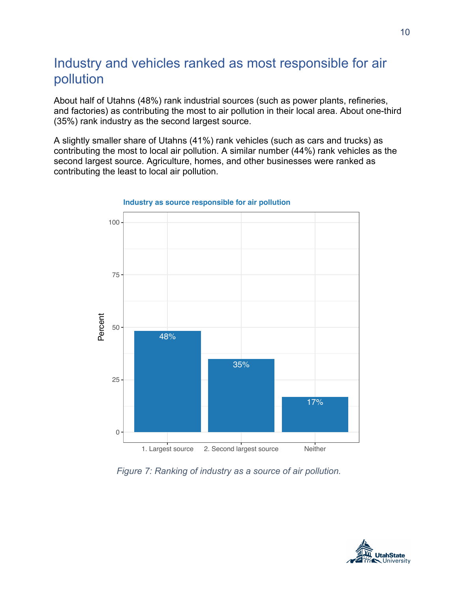#### Industry and vehicles ranked as most responsible for air pollution

About half of Utahns (48%) rank industrial sources (such as power plants, refineries, and factories) as contributing the most to air pollution in their local area. About one-third (35%) rank industry as the second largest source.

A slightly smaller share of Utahns (41%) rank vehicles (such as cars and trucks) as contributing the most to local air pollution. A similar number (44%) rank vehicles as the second largest source. Agriculture, homes, and other businesses were ranked as contributing the least to local air pollution.



#### **Industry as source responsible for air pollution**

*Figure 7: Ranking of industry as a source of air pollution.*

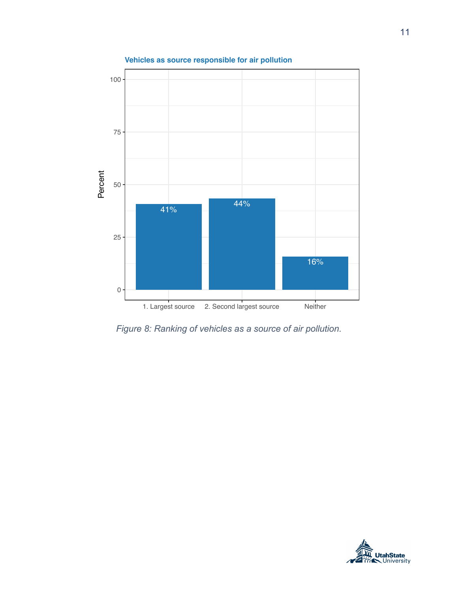

**Vehicles as source responsible for air pollution**

*Figure 8: Ranking of vehicles as a source of air pollution.*



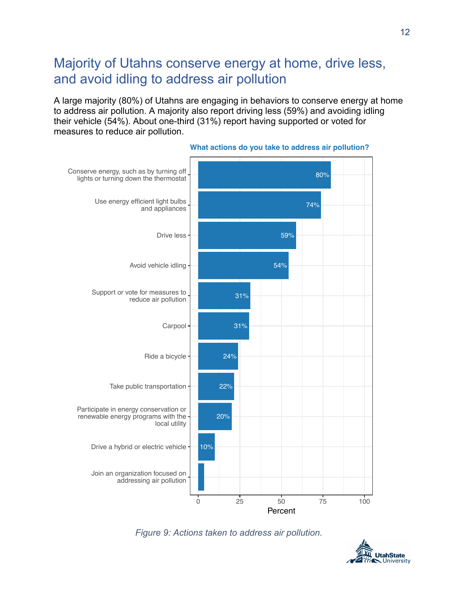#### Majority of Utahns conserve energy at home, drive less, and avoid idling to address air pollution

A large majority (80%) of Utahns are engaging in behaviors to conserve energy at home to address air pollution. A majority also report driving less (59%) and avoiding idling their vehicle (54%). About one-third (31%) report having supported or voted for measures to reduce air pollution.



**What actions do you take to address air pollution?**



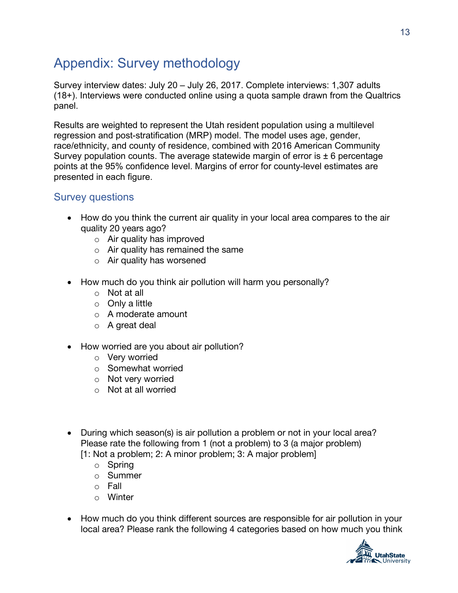## Appendix: Survey methodology

Survey interview dates: July 20 – July 26, 2017. Complete interviews: 1,307 adults (18+). Interviews were conducted online using a quota sample drawn from the Qualtrics panel.

Results are weighted to represent the Utah resident population using a multilevel regression and post-stratification (MRP) model. The model uses age, gender, race/ethnicity, and county of residence, combined with 2016 American Community Survey population counts. The average statewide margin of error is  $\pm$  6 percentage points at the 95% confidence level. Margins of error for county-level estimates are presented in each figure.

#### Survey questions

- How do you think the current air quality in your local area compares to the air quality 20 years ago?
	- o Air quality has improved
	- $\circ$  Air quality has remained the same
	- o Air quality has worsened
- How much do you think air pollution will harm you personally?
	- o Not at all
	- o Only a little
	- o A moderate amount
	- o A great deal
- How worried are you about air pollution?
	- o Very worried
	- o Somewhat worried
	- o Not very worried
	- o Not at all worried
- During which season(s) is air pollution a problem or not in your local area? Please rate the following from 1 (not a problem) to 3 (a major problem) [1: Not a problem; 2: A minor problem; 3: A major problem]
	- o Spring
	- o Summer
	- o Fall
	- o Winter
- How much do you think different sources are responsible for air pollution in your local area? Please rank the following 4 categories based on how much you think

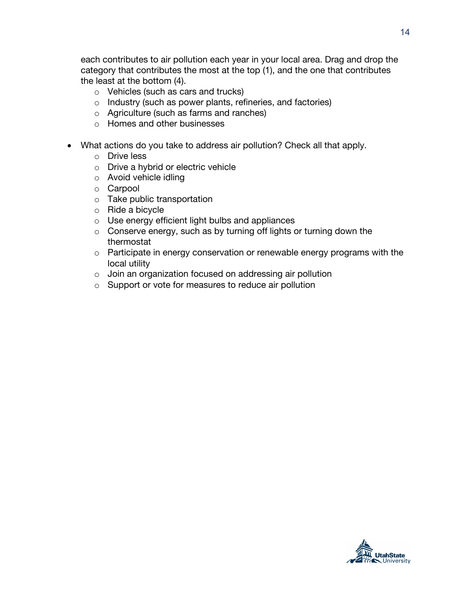each contributes to air pollution each year in your local area. Drag and drop the category that contributes the most at the top (1), and the one that contributes the least at the bottom (4).

- o Vehicles (such as cars and trucks)
- o Industry (such as power plants, refineries, and factories)
- o Agriculture (such as farms and ranches)
- o Homes and other businesses
- What actions do you take to address air pollution? Check all that apply.
	- o Drive less
	- o Drive a hybrid or electric vehicle
	- o Avoid vehicle idling
	- o Carpool
	- o Take public transportation
	- o Ride a bicycle
	- o Use energy efficient light bulbs and appliances
	- o Conserve energy, such as by turning off lights or turning down the thermostat
	- o Participate in energy conservation or renewable energy programs with the local utility
	- o Join an organization focused on addressing air pollution
	- o Support or vote for measures to reduce air pollution